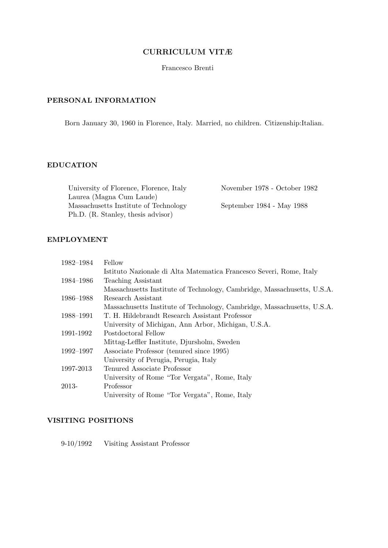## CURRICULUM VITÆ

Francesco Brenti

# PERSONAL INFORMATION

Born January 30, 1960 in Florence, Italy. Married, no children. Citizenship:Italian.

## EDUCATION

University of Florence, Florence, Italy November 1978 - October 1982 Laurea (Magna Cum Laude) Massachusetts Institute of Technology September 1984 - May 1988 Ph.D. (R. Stanley, thesis advisor)

# EMPLOYMENT

| 1982-1984 | Fellow                                                                  |
|-----------|-------------------------------------------------------------------------|
|           | Istituto Nazionale di Alta Matematica Francesco Severi, Rome, Italy     |
| 1984-1986 | Teaching Assistant                                                      |
|           | Massachusetts Institute of Technology, Cambridge, Massachusetts, U.S.A. |
| 1986–1988 | Research Assistant                                                      |
|           | Massachusetts Institute of Technology, Cambridge, Massachusetts, U.S.A. |
| 1988-1991 | T. H. Hildebrandt Research Assistant Professor                          |
|           | University of Michigan, Ann Arbor, Michigan, U.S.A.                     |
| 1991-1992 | Postdoctoral Fellow                                                     |
|           | Mittag-Leffler Institute, Djursholm, Sweden                             |
| 1992–1997 | Associate Professor (tenured since 1995)                                |
|           | University of Perugia, Perugia, Italy                                   |
| 1997-2013 | Tenured Associate Professor                                             |
|           | University of Rome "Tor Vergata", Rome, Italy                           |
| 2013-     | Professor                                                               |
|           | University of Rome "Tor Vergata", Rome, Italy                           |

## VISITING POSITIONS

9-10/1992 Visiting Assistant Professor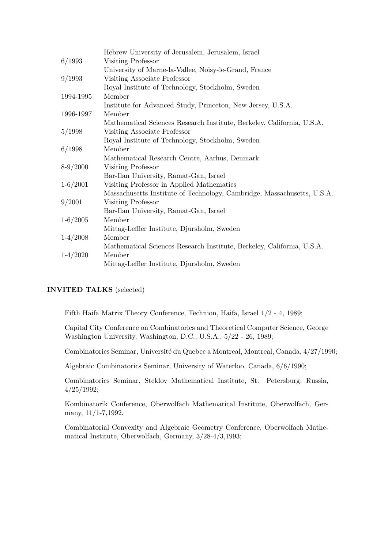| Hebrew University of Jerusalem, Jerusalem, Israel                       |
|-------------------------------------------------------------------------|
| Visiting Professor                                                      |
| University of Marne-la-Vallee, Noisy-le-Grand, France                   |
| Visiting Associate Professor                                            |
| Royal Institute of Technology, Stockholm, Sweden                        |
| Member                                                                  |
| Institute for Advanced Study, Princeton, New Jersey, U.S.A.             |
| Member                                                                  |
| Mathematical Sciences Research Institute, Berkeley, California, U.S.A.  |
| Visiting Associate Professor                                            |
| Royal Institute of Technology, Stockholm, Sweden                        |
| Member                                                                  |
| Mathematical Research Centre, Aarhus, Denmark                           |
| Visiting Professor                                                      |
| Bar-Ilan University, Ramat-Gan, Israel                                  |
| Visiting Professor in Applied Mathematics                               |
| Massachusetts Institute of Technology, Cambridge, Massachusetts, U.S.A. |
| Visiting Professor                                                      |
| Bar-Ilan University, Ramat-Gan, Israel                                  |
| Member                                                                  |
| Mittag-Leffler Institute, Djursholm, Sweden                             |
| Member                                                                  |
| Mathematical Sciences Research Institute, Berkeley, California, U.S.A.  |
| Member                                                                  |
| Mittag-Leffler Institute, Djursholm, Sweden                             |
|                                                                         |

# INVITED TALKS (selected)

Fifth Haifa Matrix Theory Conference, Technion, Haifa, Israel 1/2 - 4, 1989;

Capital City Conference on Combinatorics and Theoretical Computer Science, George Washington University, Washington, D.C., U.S.A., 5/22 - 26, 1989;

Combinatorics Seminar, Université du Quebec a Montreal, Montreal, Canada, 4/27/1990;

Algebraic Combinatorics Seminar, University of Waterloo, Canada, 6/6/1990;

Combinatorics Seminar, Steklov Mathematical Institute, St. Petersburg, Russia, 4/25/1992;

Kombinatorik Conference, Oberwolfach Mathematical Institute, Oberwolfach, Germany, 11/1-7,1992.

Combinatorial Convexity and Algebraic Geometry Conference, Oberwolfach Mathematical Institute, Oberwolfach, Germany, 3/28-4/3,1993;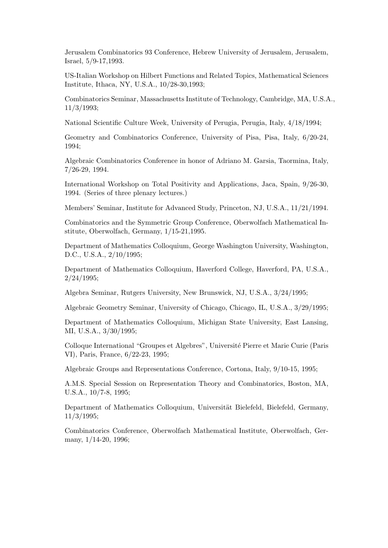Jerusalem Combinatorics 93 Conference, Hebrew University of Jerusalem, Jerusalem, Israel, 5/9-17,1993.

US-Italian Workshop on Hilbert Functions and Related Topics, Mathematical Sciences Institute, Ithaca, NY, U.S.A., 10/28-30,1993;

Combinatorics Seminar, Massachusetts Institute of Technology, Cambridge, MA, U.S.A., 11/3/1993;

National Scientific Culture Week, University of Perugia, Perugia, Italy, 4/18/1994;

Geometry and Combinatorics Conference, University of Pisa, Pisa, Italy, 6/20-24, 1994;

Algebraic Combinatorics Conference in honor of Adriano M. Garsia, Taormina, Italy, 7/26-29, 1994.

International Workshop on Total Positivity and Applications, Jaca, Spain, 9/26-30, 1994. (Series of three plenary lectures.)

Members' Seminar, Institute for Advanced Study, Princeton, NJ, U.S.A., 11/21/1994.

Combinatorics and the Symmetric Group Conference, Oberwolfach Mathematical Institute, Oberwolfach, Germany, 1/15-21,1995.

Department of Mathematics Colloquium, George Washington University, Washington, D.C., U.S.A., 2/10/1995;

Department of Mathematics Colloquium, Haverford College, Haverford, PA, U.S.A., 2/24/1995;

Algebra Seminar, Rutgers University, New Brunswick, NJ, U.S.A., 3/24/1995;

Algebraic Geometry Seminar, University of Chicago, Chicago, IL, U.S.A., 3/29/1995;

Department of Mathematics Colloquium, Michigan State University, East Lansing, MI, U.S.A., 3/30/1995;

Colloque International "Groupes et Algebres", Université Pierre et Marie Curie (Paris VI), Paris, France, 6/22-23, 1995;

Algebraic Groups and Representations Conference, Cortona, Italy, 9/10-15, 1995;

A.M.S. Special Session on Representation Theory and Combinatorics, Boston, MA, U.S.A., 10/7-8, 1995;

Department of Mathematics Colloquium, Universität Bielefeld, Bielefeld, Germany, 11/3/1995;

Combinatorics Conference, Oberwolfach Mathematical Institute, Oberwolfach, Germany, 1/14-20, 1996;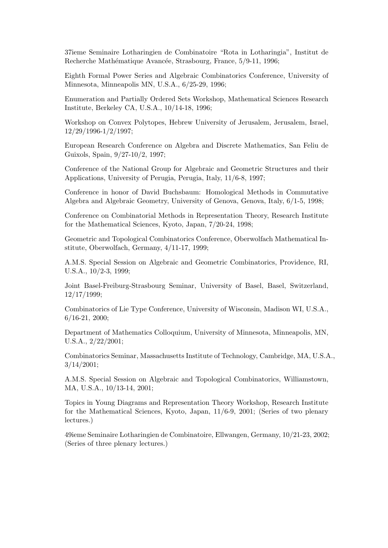37ieme Seminaire Lotharingien de Combinatoire "Rota in Lotharingia", Institut de Recherche Mathématique Avancée, Strasbourg, France, 5/9-11, 1996;

Eighth Formal Power Series and Algebraic Combinatorics Conference, University of Minnesota, Minneapolis MN, U.S.A., 6/25-29, 1996;

Enumeration and Partially Ordered Sets Workshop, Mathematical Sciences Research Institute, Berkeley CA, U.S.A., 10/14-18, 1996;

Workshop on Convex Polytopes, Hebrew University of Jerusalem, Jerusalem, Israel, 12/29/1996-1/2/1997;

European Research Conference on Algebra and Discrete Mathematics, San Feliu de Guixols, Spain, 9/27-10/2, 1997;

Conference of the National Group for Algebraic and Geometric Structures and their Applications, University of Perugia, Perugia, Italy, 11/6-8, 1997;

Conference in honor of David Buchsbaum: Homological Methods in Commutative Algebra and Algebraic Geometry, University of Genova, Genova, Italy, 6/1-5, 1998;

Conference on Combinatorial Methods in Representation Theory, Research Institute for the Mathematical Sciences, Kyoto, Japan, 7/20-24, 1998;

Geometric and Topological Combinatorics Conference, Oberwolfach Mathematical Institute, Oberwolfach, Germany, 4/11-17, 1999;

A.M.S. Special Session on Algebraic and Geometric Combinatorics, Providence, RI, U.S.A., 10/2-3, 1999;

Joint Basel-Freiburg-Strasbourg Seminar, University of Basel, Basel, Switzerland, 12/17/1999;

Combinatorics of Lie Type Conference, University of Wisconsin, Madison WI, U.S.A., 6/16-21, 2000;

Department of Mathematics Colloquium, University of Minnesota, Minneapolis, MN, U.S.A., 2/22/2001;

Combinatorics Seminar, Massachusetts Institute of Technology, Cambridge, MA, U.S.A., 3/14/2001;

A.M.S. Special Session on Algebraic and Topological Combinatorics, Williamstown, MA, U.S.A., 10/13-14, 2001;

Topics in Young Diagrams and Representation Theory Workshop, Research Institute for the Mathematical Sciences, Kyoto, Japan, 11/6-9, 2001; (Series of two plenary lectures.)

49ieme Seminaire Lotharingien de Combinatoire, Ellwangen, Germany, 10/21-23, 2002; (Series of three plenary lectures.)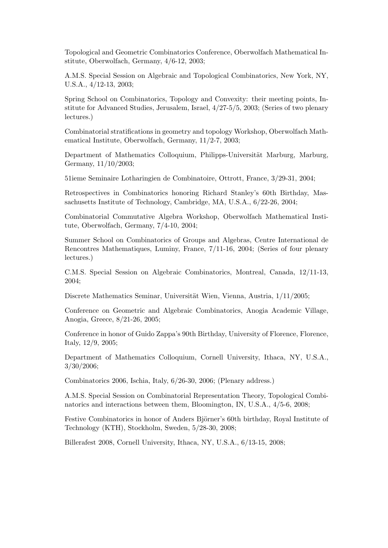Topological and Geometric Combinatorics Conference, Oberwolfach Mathematical Institute, Oberwolfach, Germany, 4/6-12, 2003;

A.M.S. Special Session on Algebraic and Topological Combinatorics, New York, NY, U.S.A., 4/12-13, 2003;

Spring School on Combinatorics, Topology and Convexity: their meeting points, Institute for Advanced Studies, Jerusalem, Israel, 4/27-5/5, 2003; (Series of two plenary lectures.)

Combinatorial stratifications in geometry and topology Workshop, Oberwolfach Mathematical Institute, Oberwolfach, Germany, 11/2-7, 2003;

Department of Mathematics Colloquium, Philipps-Universität Marburg, Marburg, Germany, 11/10/2003;

51ieme Seminaire Lotharingien de Combinatoire, Ottrott, France, 3/29-31, 2004;

Retrospectives in Combinatorics honoring Richard Stanley's 60th Birthday, Massachusetts Institute of Technology, Cambridge, MA, U.S.A., 6/22-26, 2004;

Combinatorial Commutative Algebra Workshop, Oberwolfach Mathematical Institute, Oberwolfach, Germany, 7/4-10, 2004;

Summer School on Combinatorics of Groups and Algebras, Centre International de Rencontres Mathematiques, Luminy, France, 7/11-16, 2004; (Series of four plenary lectures.)

C.M.S. Special Session on Algebraic Combinatorics, Montreal, Canada, 12/11-13, 2004;

Discrete Mathematics Seminar, Universität Wien, Vienna, Austria,  $1/11/2005$ ;

Conference on Geometric and Algebraic Combinatorics, Anogia Academic Village, Anogia, Greece, 8/21-26, 2005;

Conference in honor of Guido Zappa's 90th Birthday, University of Florence, Florence, Italy, 12/9, 2005;

Department of Mathematics Colloquium, Cornell University, Ithaca, NY, U.S.A., 3/30/2006;

Combinatorics 2006, Ischia, Italy, 6/26-30, 2006; (Plenary address.)

A.M.S. Special Session on Combinatorial Representation Theory, Topological Combinatorics and interactions between them, Bloomington, IN, U.S.A., 4/5-6, 2008;

Festive Combinatorics in honor of Anders Björner's 60th birthday, Royal Institute of Technology (KTH), Stockholm, Sweden, 5/28-30, 2008;

Billerafest 2008, Cornell University, Ithaca, NY, U.S.A., 6/13-15, 2008;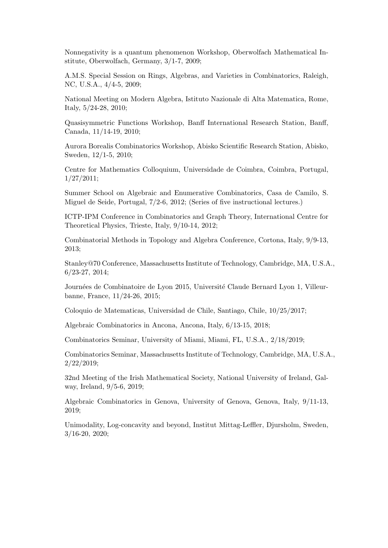Nonnegativity is a quantum phenomenon Workshop, Oberwolfach Mathematical Institute, Oberwolfach, Germany, 3/1-7, 2009;

A.M.S. Special Session on Rings, Algebras, and Varieties in Combinatorics, Raleigh, NC, U.S.A., 4/4-5, 2009;

National Meeting on Modern Algebra, Istituto Nazionale di Alta Matematica, Rome, Italy, 5/24-28, 2010;

Quasisymmetric Functions Workshop, Banff International Research Station, Banff, Canada, 11/14-19, 2010;

Aurora Borealis Combinatorics Workshop, Abisko Scientific Research Station, Abisko, Sweden, 12/1-5, 2010;

Centre for Mathematics Colloquium, Universidade de Coimbra, Coimbra, Portugal, 1/27/2011;

Summer School on Algebraic and Enumerative Combinatorics, Casa de Camilo, S. Miguel de Seide, Portugal, 7/2-6, 2012; (Series of five instructional lectures.)

ICTP-IPM Conference in Combinatorics and Graph Theory, International Centre for Theoretical Physics, Trieste, Italy, 9/10-14, 2012;

Combinatorial Methods in Topology and Algebra Conference, Cortona, Italy, 9/9-13, 2013;

Stanley@70 Conference, Massachusetts Institute of Technology, Cambridge, MA, U.S.A., 6/23-27, 2014;

Journées de Combinatoire de Lyon 2015, Université Claude Bernard Lyon 1, Villeurbanne, France, 11/24-26, 2015;

Coloquio de Matematicas, Universidad de Chile, Santiago, Chile, 10/25/2017;

Algebraic Combinatorics in Ancona, Ancona, Italy, 6/13-15, 2018;

Combinatorics Seminar, University of Miami, Miami, FL, U.S.A., 2/18/2019;

Combinatorics Seminar, Massachusetts Institute of Technology, Cambridge, MA, U.S.A., 2/22/2019;

32nd Meeting of the Irish Mathematical Society, National University of Ireland, Galway, Ireland, 9/5-6, 2019;

Algebraic Combinatorics in Genova, University of Genova, Genova, Italy, 9/11-13, 2019;

Unimodality, Log-concavity and beyond, Institut Mittag-Leffler, Djursholm, Sweden, 3/16-20, 2020;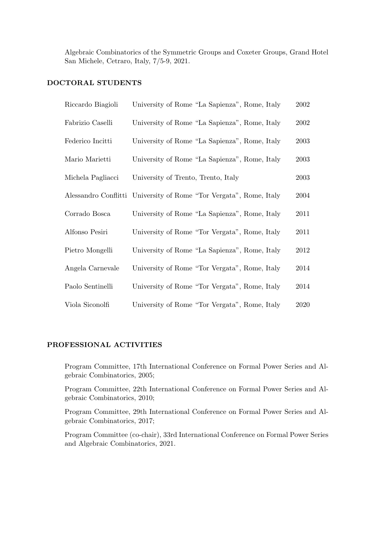Algebraic Combinatorics of the Symmetric Groups and Coxeter Groups, Grand Hotel San Michele, Cetraro, Italy, 7/5-9, 2021.

## DOCTORAL STUDENTS

| Riccardo Biagioli | University of Rome "La Sapienza", Rome, Italy                      | $\,2002\,$ |
|-------------------|--------------------------------------------------------------------|------------|
| Fabrizio Caselli  | University of Rome "La Sapienza", Rome, Italy                      | 2002       |
| Federico Incitti  | University of Rome "La Sapienza", Rome, Italy                      | 2003       |
| Mario Marietti    | University of Rome "La Sapienza", Rome, Italy                      | 2003       |
| Michela Pagliacci | University of Trento, Trento, Italy                                | 2003       |
|                   | Alessandro Conflitti University of Rome "Tor Vergata", Rome, Italy | 2004       |
| Corrado Bosca     | University of Rome "La Sapienza", Rome, Italy                      | 2011       |
| Alfonso Pesiri    | University of Rome "Tor Vergata", Rome, Italy                      | 2011       |
| Pietro Mongelli   | University of Rome "La Sapienza", Rome, Italy                      | 2012       |
| Angela Carnevale  | University of Rome "Tor Vergata", Rome, Italy                      | 2014       |
| Paolo Sentinelli  | University of Rome "Tor Vergata", Rome, Italy                      | 2014       |
| Viola Siconolfi   | University of Rome "Tor Vergata", Rome, Italy                      | 2020       |

## PROFESSIONAL ACTIVITIES

Program Committee, 17th International Conference on Formal Power Series and Algebraic Combinatorics, 2005;

Program Committee, 22th International Conference on Formal Power Series and Algebraic Combinatorics, 2010;

Program Committee, 29th International Conference on Formal Power Series and Algebraic Combinatorics, 2017;

Program Committee (co-chair), 33rd International Conference on Formal Power Series and Algebraic Combinatorics, 2021.